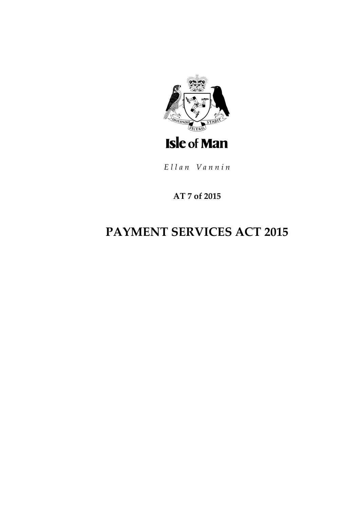

Ellan Vannin

# AT 7 of 2015

# **PAYMENT SERVICES ACT 2015**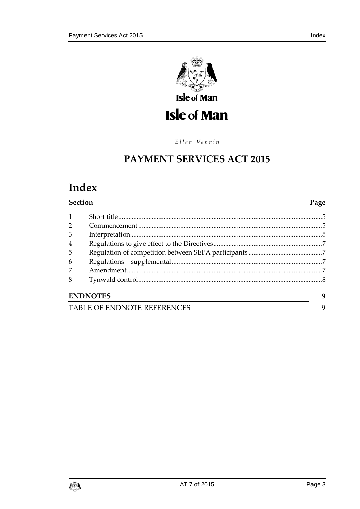

Ellan Vannin

# **PAYMENT SERVICES ACT 2015**

# Index

#### Section

#### $\mathbf{1}$  $\overline{2}$  $\overline{3}$  $\overline{A}$ 5 6  $\overline{7}$ 8 **ENDNOTES** 9

**TABLE OF ENDNOTE REFERENCES** 



### Page

9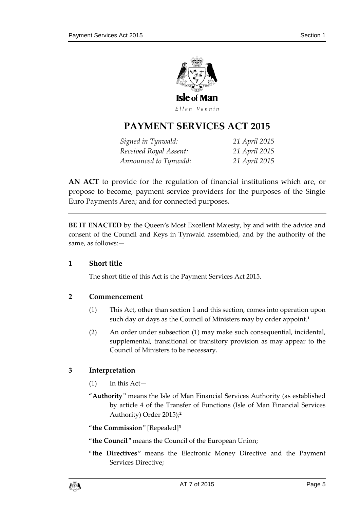

Ellan Vannin

# **PAYMENT SERVICES ACT 2015**

| Signed in Tynwald:     | 21 April 2015 |
|------------------------|---------------|
| Received Royal Assent: | 21 April 2015 |
| Announced to Tynwald:  | 21 April 2015 |

**AN ACT** to provide for the regulation of financial institutions which are, or propose to become, payment service providers for the purposes of the Single Euro Payments Area; and for connected purposes.

**BE IT ENACTED** by the Queen's Most Excellent Majesty, by and with the advice and consent of the Council and Keys in Tynwald assembled, and by the authority of the same, as follows:—

#### <span id="page-4-0"></span>**1 Short title**

The short title of this Act is the Payment Services Act 2015.

#### <span id="page-4-1"></span>**2 Commencement**

- (1) This Act, other than section 1 and this section, comes into operation upon such day or days as the Council of Ministers may by order appoint.**<sup>1</sup>**
- (2) An order under subsection (1) may make such consequential, incidental, supplemental, transitional or transitory provision as may appear to the Council of Ministers to be necessary.

#### <span id="page-4-2"></span>**3 Interpretation**

- $(1)$  In this Act—
- "**Authority**" means the Isle of Man Financial Services Authority (as established by article 4 of the Transfer of Functions (Isle of Man Financial Services Authority) Order 2015);**<sup>2</sup>**

"**the Commission**" [Repealed]**<sup>3</sup>**

"**the Council**" means the Council of the European Union;

"**the Directives**" means the Electronic Money Directive and the Payment Services Directive;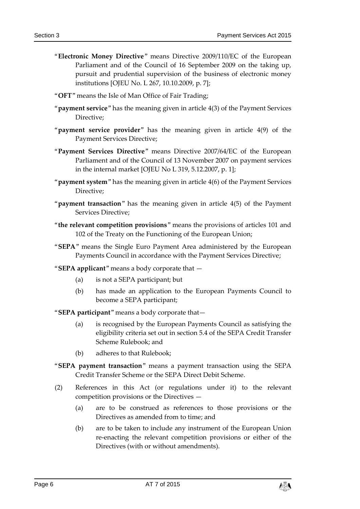- "**Electronic Money Directive**" means Directive 2009/110/EC of the European Parliament and of the Council of 16 September 2009 on the taking up, pursuit and prudential supervision of the business of electronic money institutions [OJEU No. L 267, 10.10.2009, p. 7];
- "**OFT**" means the Isle of Man Office of Fair Trading;
- "**payment service**" has the meaning given in article 4(3) of the Payment Services Directive;
- "**payment service provider**" has the meaning given in article 4(9) of the Payment Services Directive;
- "**Payment Services Directive**" means Directive 2007/64/EC of the European Parliament and of the Council of 13 November 2007 on payment services in the internal market [OJEU No L 319, 5.12.2007, p. 1];
- "**payment system**" has the meaning given in article 4(6) of the Payment Services Directive;
- "**payment transaction**" has the meaning given in article 4(5) of the Payment Services Directive;
- "**the relevant competition provisions**" means the provisions of articles 101 and 102 of the Treaty on the Functioning of the European Union;
- "**SEPA**" means the Single Euro Payment Area administered by the European Payments Council in accordance with the Payment Services Directive;
- "**SEPA applicant**" means a body corporate that
	- (a) is not a SEPA participant; but
	- (b) has made an application to the European Payments Council to become a SEPA participant;
- "**SEPA participant**" means a body corporate that—
	- (a) is recognised by the European Payments Council as satisfying the eligibility criteria set out in section 5.4 of the SEPA Credit Transfer Scheme Rulebook; and
	- (b) adheres to that Rulebook;
- "**SEPA payment transaction**" means a payment transaction using the SEPA Credit Transfer Scheme or the SEPA Direct Debit Scheme.
- (2) References in this Act (or regulations under it) to the relevant competition provisions or the Directives —
	- (a) are to be construed as references to those provisions or the Directives as amended from to time; and
	- (b) are to be taken to include any instrument of the European Union re-enacting the relevant competition provisions or either of the Directives (with or without amendments).

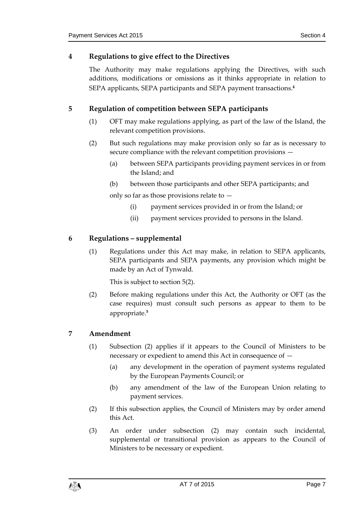#### <span id="page-6-0"></span>**4 Regulations to give effect to the Directives**

The Authority may make regulations applying the Directives, with such additions, modifications or omissions as it thinks appropriate in relation to SEPA applicants, SEPA participants and SEPA payment transactions. **4**

#### <span id="page-6-1"></span>**5 Regulation of competition between SEPA participants**

- (1) OFT may make regulations applying, as part of the law of the Island, the relevant competition provisions.
- <span id="page-6-4"></span>(2) But such regulations may make provision only so far as is necessary to secure compliance with the relevant competition provisions —
	- (a) between SEPA participants providing payment services in or from the Island; and
	- (b) between those participants and other SEPA participants; and

only so far as those provisions relate to —

- (i) payment services provided in or from the Island; or
- (ii) payment services provided to persons in the Island.

#### <span id="page-6-2"></span>**6 Regulations – supplemental**

(1) Regulations under this Act may make, in relation to SEPA applicants, SEPA participants and SEPA payments, any provision which might be made by an Act of Tynwald*.*

This is subject to section [5\(2\).](#page-6-4)

(2) Before making regulations under this Act, the Authority or OFT (as the case requires) must consult such persons as appear to them to be appropriate. **5**

#### <span id="page-6-3"></span>**7 Amendment**

- (1) Subsection (2) applies if it appears to the Council of Ministers to be necessary or expedient to amend this Act in consequence of —
	- (a) any development in the operation of payment systems regulated by the European Payments Council; or
	- (b) any amendment of the law of the European Union relating to payment services.
- (2) If this subsection applies, the Council of Ministers may by order amend this Act.
- (3) An order under subsection (2) may contain such incidental, supplemental or transitional provision as appears to the Council of Ministers to be necessary or expedient.

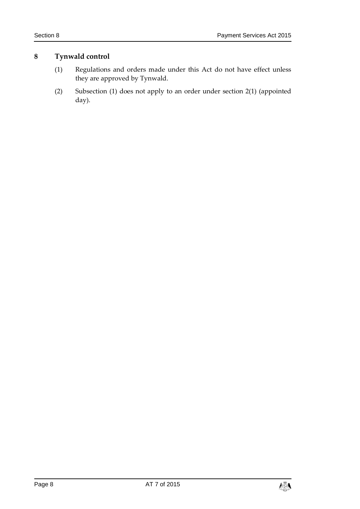#### <span id="page-7-0"></span>**8 Tynwald control**

- (1) Regulations and orders made under this Act do not have effect unless they are approved by Tynwald.
- (2) Subsection (1) does not apply to an order under section 2(1) (appointed day).